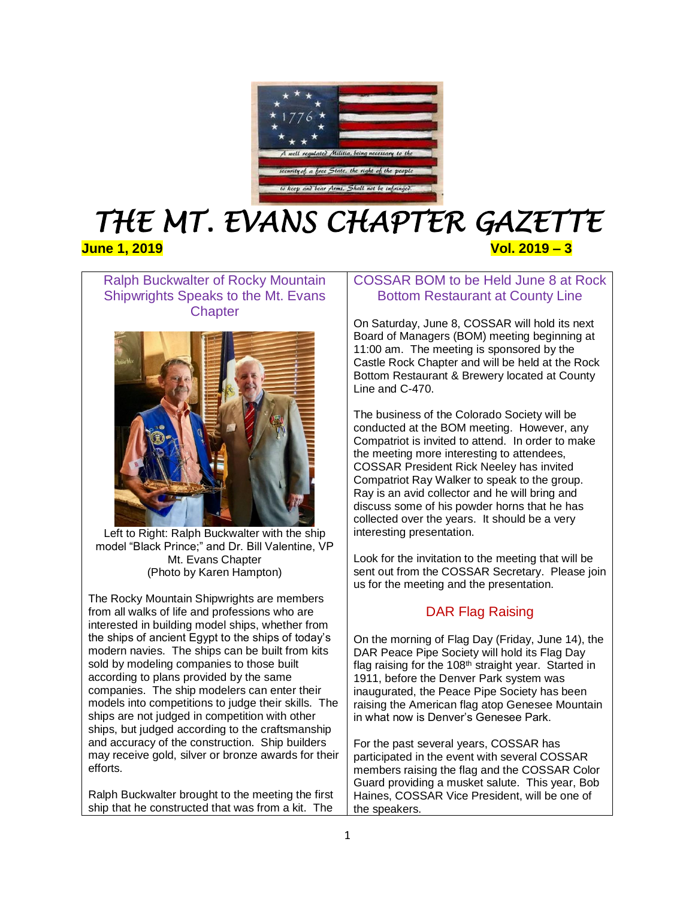

# *THE MT. EVANS CHAPTER GAZETTE*  **June 1, 2019 Vol. 2019 – 3**

Ralph Buckwalter of Rocky Mountain Shipwrights Speaks to the Mt. Evans **Chapter** 



Left to Right: Ralph Buckwalter with the ship model "Black Prince;" and Dr. Bill Valentine, VP Mt. Evans Chapter (Photo by Karen Hampton)

The Rocky Mountain Shipwrights are members from all walks of life and professions who are interested in building model ships, whether from the ships of ancient Egypt to the ships of today's modern navies. The ships can be built from kits sold by modeling companies to those built according to plans provided by the same companies. The ship modelers can enter their models into competitions to judge their skills. The ships are not judged in competition with other ships, but judged according to the craftsmanship and accuracy of the construction. Ship builders may receive gold, silver or bronze awards for their efforts.

Ralph Buckwalter brought to the meeting the first ship that he constructed that was from a kit. The

# COSSAR BOM to be Held June 8 at Rock Bottom Restaurant at County Line

On Saturday, June 8, COSSAR will hold its next Board of Managers (BOM) meeting beginning at 11:00 am. The meeting is sponsored by the Castle Rock Chapter and will be held at the Rock Bottom Restaurant & Brewery located at County Line and C-470.

The business of the Colorado Society will be conducted at the BOM meeting. However, any Compatriot is invited to attend. In order to make the meeting more interesting to attendees, COSSAR President Rick Neeley has invited Compatriot Ray Walker to speak to the group. Ray is an avid collector and he will bring and discuss some of his powder horns that he has collected over the years. It should be a very interesting presentation.

Look for the invitation to the meeting that will be sent out from the COSSAR Secretary. Please join us for the meeting and the presentation.

# DAR Flag Raising

On the morning of Flag Day (Friday, June 14), the DAR Peace Pipe Society will hold its Flag Day flag raising for the  $108<sup>th</sup>$  straight year. Started in 1911, before the Denver Park system was inaugurated, the Peace Pipe Society has been raising the American flag atop Genesee Mountain in what now is Denver's Genesee Park.

For the past several years, COSSAR has participated in the event with several COSSAR members raising the flag and the COSSAR Color Guard providing a musket salute. This year, Bob Haines, COSSAR Vice President, will be one of the speakers.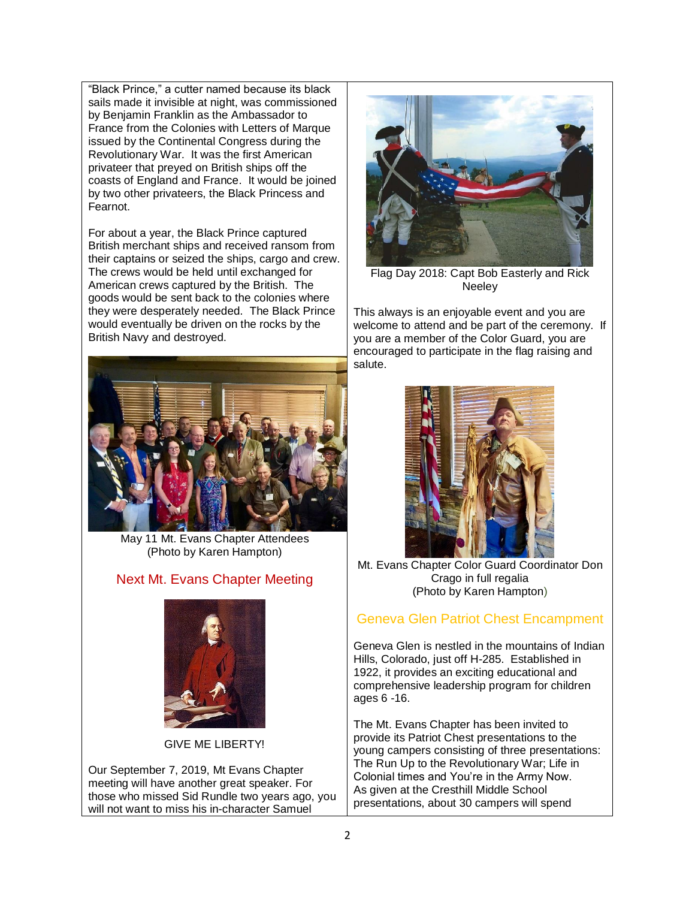"Black Prince," a cutter named because its black sails made it invisible at night, was commissioned by Benjamin Franklin as the Ambassador to France from the Colonies with Letters of Marque issued by the Continental Congress during the Revolutionary War. It was the first American privateer that preyed on British ships off the coasts of England and France. It would be joined by two other privateers, the Black Princess and Fearnot.

For about a year, the Black Prince captured British merchant ships and received ransom from their captains or seized the ships, cargo and crew. The crews would be held until exchanged for American crews captured by the British. The goods would be sent back to the colonies where they were desperately needed. The Black Prince would eventually be driven on the rocks by the British Navy and destroyed.



May 11 Mt. Evans Chapter Attendees (Photo by Karen Hampton)

# Next Mt. Evans Chapter Meeting



#### GIVE ME LIBERTY!

Our September 7, 2019, Mt Evans Chapter meeting will have another great speaker. For those who missed Sid Rundle two years ago, you will not want to miss his in-character Samuel



Flag Day 2018: Capt Bob Easterly and Rick **Neeley** 

This always is an enjoyable event and you are welcome to attend and be part of the ceremony. If you are a member of the Color Guard, you are encouraged to participate in the flag raising and salute.



Mt. Evans Chapter Color Guard Coordinator Don Crago in full regalia (Photo by Karen Hampton)

# Geneva Glen Patriot Chest Encampment

Geneva Glen is nestled in the mountains of Indian Hills, Colorado, just off H-285. Established in 1922, it provides an exciting educational and comprehensive leadership program for children ages 6 -16.

The Mt. Evans Chapter has been invited to provide its Patriot Chest presentations to the young campers consisting of three presentations: The Run Up to the Revolutionary War; Life in Colonial times and You're in the Army Now. As given at the Cresthill Middle School presentations, about 30 campers will spend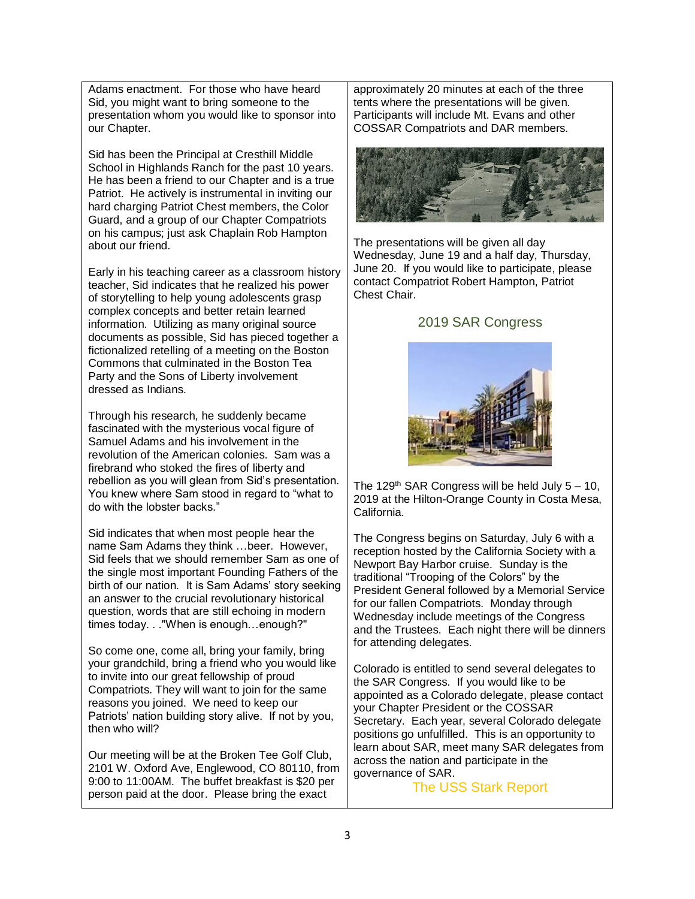Adams enactment. For those who have heard Sid, you might want to bring someone to the presentation whom you would like to sponsor into our Chapter.

Sid has been the Principal at Cresthill Middle School in Highlands Ranch for the past 10 years. He has been a friend to our Chapter and is a true Patriot. He actively is instrumental in inviting our hard charging Patriot Chest members, the Color Guard, and a group of our Chapter Compatriots on his campus; just ask Chaplain Rob Hampton about our friend.

Early in his teaching career as a classroom history teacher, Sid indicates that he realized his power of storytelling to help young adolescents grasp complex concepts and better retain learned information. Utilizing as many original source documents as possible, Sid has pieced together a fictionalized retelling of a meeting on the Boston Commons that culminated in the Boston Tea Party and the Sons of Liberty involvement dressed as Indians.

Through his research, he suddenly became fascinated with the mysterious vocal figure of Samuel Adams and his involvement in the revolution of the American colonies. Sam was a firebrand who stoked the fires of liberty and rebellion as you will glean from Sid's presentation. You knew where Sam stood in regard to "what to do with the lobster backs."

Sid indicates that when most people hear the name Sam Adams they think …beer. However, Sid feels that we should remember Sam as one of the single most important Founding Fathers of the birth of our nation. It is Sam Adams' story seeking an answer to the crucial revolutionary historical question, words that are still echoing in modern times today. . ."When is enough…enough?"

So come one, come all, bring your family, bring your grandchild, bring a friend who you would like to invite into our great fellowship of proud Compatriots. They will want to join for the same reasons you joined. We need to keep our Patriots' nation building story alive. If not by you, then who will?

Our meeting will be at the Broken Tee Golf Club, 2101 W. Oxford Ave, Englewood, CO 80110, from 9:00 to 11:00AM. The buffet breakfast is \$20 per person paid at the door. Please bring the exact

approximately 20 minutes at each of the three tents where the presentations will be given. Participants will include Mt. Evans and other COSSAR Compatriots and DAR members.



The presentations will be given all day Wednesday, June 19 and a half day, Thursday, June 20. If you would like to participate, please contact Compatriot Robert Hampton, Patriot Chest Chair.

#### 2019 SAR Congress



The 129<sup>th</sup> SAR Congress will be held July  $5 - 10$ , 2019 at the Hilton-Orange County in Costa Mesa, California.

The Congress begins on Saturday, July 6 with a reception hosted by the California Society with a Newport Bay Harbor cruise. Sunday is the traditional "Trooping of the Colors" by the President General followed by a Memorial Service for our fallen Compatriots. Monday through Wednesday include meetings of the Congress and the Trustees. Each night there will be dinners for attending delegates.

Colorado is entitled to send several delegates to the SAR Congress. If you would like to be appointed as a Colorado delegate, please contact your Chapter President or the COSSAR Secretary. Each year, several Colorado delegate positions go unfulfilled. This is an opportunity to learn about SAR, meet many SAR delegates from across the nation and participate in the governance of SAR.

The USS Stark Report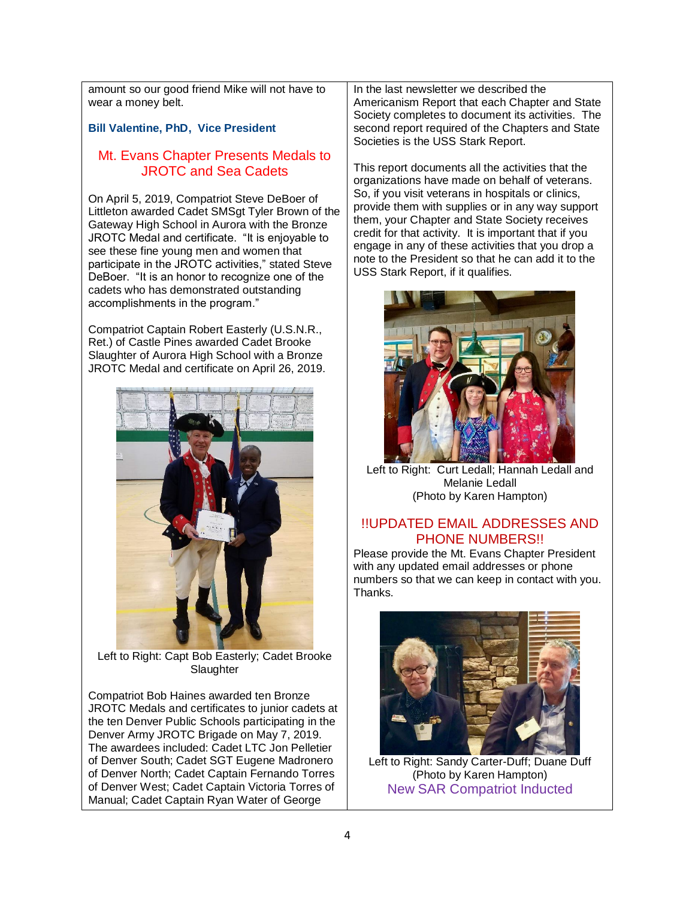amount so our good friend Mike will not have to wear a money belt.

### **Bill Valentine, PhD, Vice President**

# Mt. Evans Chapter Presents Medals to JROTC and Sea Cadets

On April 5, 2019, Compatriot Steve DeBoer of Littleton awarded Cadet SMSgt Tyler Brown of the Gateway High School in Aurora with the Bronze JROTC Medal and certificate. "It is enjoyable to see these fine young men and women that participate in the JROTC activities," stated Steve DeBoer. "It is an honor to recognize one of the cadets who has demonstrated outstanding accomplishments in the program."

Compatriot Captain Robert Easterly (U.S.N.R., Ret.) of Castle Pines awarded Cadet Brooke Slaughter of Aurora High School with a Bronze JROTC Medal and certificate on April 26, 2019.



Left to Right: Capt Bob Easterly; Cadet Brooke **Slaughter** 

Compatriot Bob Haines awarded ten Bronze JROTC Medals and certificates to junior cadets at the ten Denver Public Schools participating in the Denver Army JROTC Brigade on May 7, 2019. The awardees included: Cadet LTC Jon Pelletier of Denver South; Cadet SGT Eugene Madronero of Denver North; Cadet Captain Fernando Torres of Denver West; Cadet Captain Victoria Torres of Manual; Cadet Captain Ryan Water of George

In the last newsletter we described the Americanism Report that each Chapter and State Society completes to document its activities. The second report required of the Chapters and State Societies is the USS Stark Report.

This report documents all the activities that the organizations have made on behalf of veterans. So, if you visit veterans in hospitals or clinics, provide them with supplies or in any way support them, your Chapter and State Society receives credit for that activity. It is important that if you engage in any of these activities that you drop a note to the President so that he can add it to the USS Stark Report, if it qualifies.



Left to Right: Curt Ledall: Hannah Ledall and Melanie Ledall (Photo by Karen Hampton)

#### !!UPDATED EMAIL ADDRESSES AND PHONE NUMBERS!!

Please provide the Mt. Evans Chapter President with any updated email addresses or phone numbers so that we can keep in contact with you. Thanks.



Left to Right: Sandy Carter-Duff; Duane Duff (Photo by Karen Hampton) New SAR Compatriot Inducted